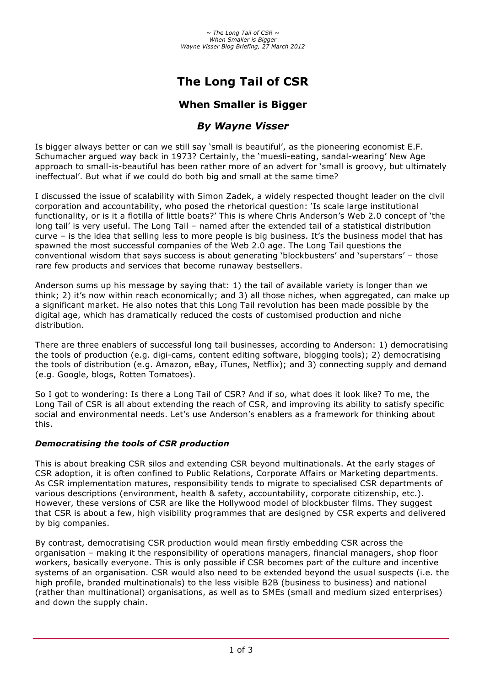# **The Long Tail of CSR**

# **When Smaller is Bigger**

# *By Wayne Visser*

Is bigger always better or can we still say 'small is beautiful', as the pioneering economist E.F. Schumacher argued way back in 1973? Certainly, the 'muesli-eating, sandal-wearing' New Age approach to small-is-beautiful has been rather more of an advert for 'small is groovy, but ultimately ineffectual'. But what if we could do both big and small at the same time?

I discussed the issue of scalability with Simon Zadek, a widely respected thought leader on the civil corporation and accountability, who posed the rhetorical question: 'Is scale large institutional functionality, or is it a flotilla of little boats?' This is where Chris Anderson's Web 2.0 concept of 'the long tail' is very useful. The Long Tail – named after the extended tail of a statistical distribution curve – is the idea that selling less to more people is big business. It's the business model that has spawned the most successful companies of the Web 2.0 age. The Long Tail questions the conventional wisdom that says success is about generating 'blockbusters' and 'superstars' – those rare few products and services that become runaway bestsellers.

Anderson sums up his message by saying that: 1) the tail of available variety is longer than we think; 2) it's now within reach economically; and 3) all those niches, when aggregated, can make up a significant market. He also notes that this Long Tail revolution has been made possible by the digital age, which has dramatically reduced the costs of customised production and niche distribution.

There are three enablers of successful long tail businesses, according to Anderson: 1) democratising the tools of production (e.g. digi-cams, content editing software, blogging tools); 2) democratising the tools of distribution (e.g. Amazon, eBay, iTunes, Netflix); and 3) connecting supply and demand (e.g. Google, blogs, Rotten Tomatoes).

So I got to wondering: Is there a Long Tail of CSR? And if so, what does it look like? To me, the Long Tail of CSR is all about extending the reach of CSR, and improving its ability to satisfy specific social and environmental needs. Let's use Anderson's enablers as a framework for thinking about this.

## *Democratising the tools of CSR production*

This is about breaking CSR silos and extending CSR beyond multinationals. At the early stages of CSR adoption, it is often confined to Public Relations, Corporate Affairs or Marketing departments. As CSR implementation matures, responsibility tends to migrate to specialised CSR departments of various descriptions (environment, health & safety, accountability, corporate citizenship, etc.). However, these versions of CSR are like the Hollywood model of blockbuster films. They suggest that CSR is about a few, high visibility programmes that are designed by CSR experts and delivered by big companies.

By contrast, democratising CSR production would mean firstly embedding CSR across the organisation – making it the responsibility of operations managers, financial managers, shop floor workers, basically everyone. This is only possible if CSR becomes part of the culture and incentive systems of an organisation. CSR would also need to be extended beyond the usual suspects (i.e. the high profile, branded multinationals) to the less visible B2B (business to business) and national (rather than multinational) organisations, as well as to SMEs (small and medium sized enterprises) and down the supply chain.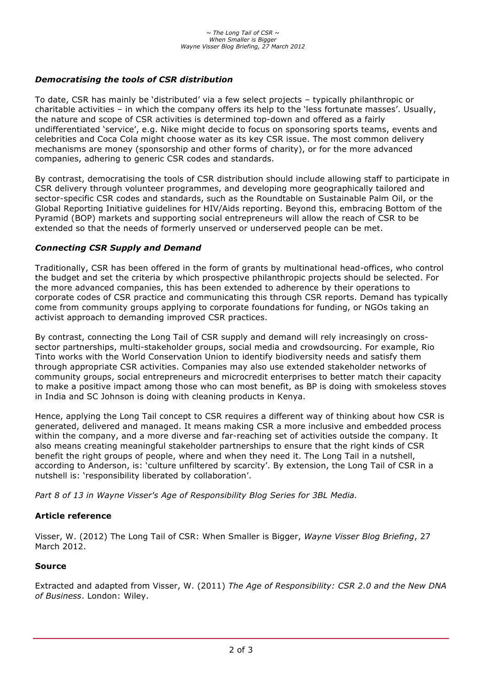### *Democratising the tools of CSR distribution*

To date, CSR has mainly be 'distributed' via a few select projects – typically philanthropic or charitable activities – in which the company offers its help to the 'less fortunate masses'. Usually, the nature and scope of CSR activities is determined top-down and offered as a fairly undifferentiated 'service', e.g. Nike might decide to focus on sponsoring sports teams, events and celebrities and Coca Cola might choose water as its key CSR issue. The most common delivery mechanisms are money (sponsorship and other forms of charity), or for the more advanced companies, adhering to generic CSR codes and standards.

By contrast, democratising the tools of CSR distribution should include allowing staff to participate in CSR delivery through volunteer programmes, and developing more geographically tailored and sector-specific CSR codes and standards, such as the Roundtable on Sustainable Palm Oil, or the Global Reporting Initiative guidelines for HIV/Aids reporting. Beyond this, embracing Bottom of the Pyramid (BOP) markets and supporting social entrepreneurs will allow the reach of CSR to be extended so that the needs of formerly unserved or underserved people can be met.

#### *Connecting CSR Supply and Demand*

Traditionally, CSR has been offered in the form of grants by multinational head-offices, who control the budget and set the criteria by which prospective philanthropic projects should be selected. For the more advanced companies, this has been extended to adherence by their operations to corporate codes of CSR practice and communicating this through CSR reports. Demand has typically come from community groups applying to corporate foundations for funding, or NGOs taking an activist approach to demanding improved CSR practices.

By contrast, connecting the Long Tail of CSR supply and demand will rely increasingly on crosssector partnerships, multi-stakeholder groups, social media and crowdsourcing. For example, Rio Tinto works with the World Conservation Union to identify biodiversity needs and satisfy them through appropriate CSR activities. Companies may also use extended stakeholder networks of community groups, social entrepreneurs and microcredit enterprises to better match their capacity to make a positive impact among those who can most benefit, as BP is doing with smokeless stoves in India and SC Johnson is doing with cleaning products in Kenya.

Hence, applying the Long Tail concept to CSR requires a different way of thinking about how CSR is generated, delivered and managed. It means making CSR a more inclusive and embedded process within the company, and a more diverse and far-reaching set of activities outside the company. It also means creating meaningful stakeholder partnerships to ensure that the right kinds of CSR benefit the right groups of people, where and when they need it. The Long Tail in a nutshell, according to Anderson, is: 'culture unfiltered by scarcity'. By extension, the Long Tail of CSR in a nutshell is: 'responsibility liberated by collaboration'.

*Part 8 of 13 in Wayne Visser's Age of Responsibility Blog Series for 3BL Media.*

#### **Article reference**

Visser, W. (2012) The Long Tail of CSR: When Smaller is Bigger, *Wayne Visser Blog Briefing*, 27 March 2012.

#### **Source**

Extracted and adapted from Visser, W. (2011) *The Age of Responsibility: CSR 2.0 and the New DNA of Business*. London: Wiley.